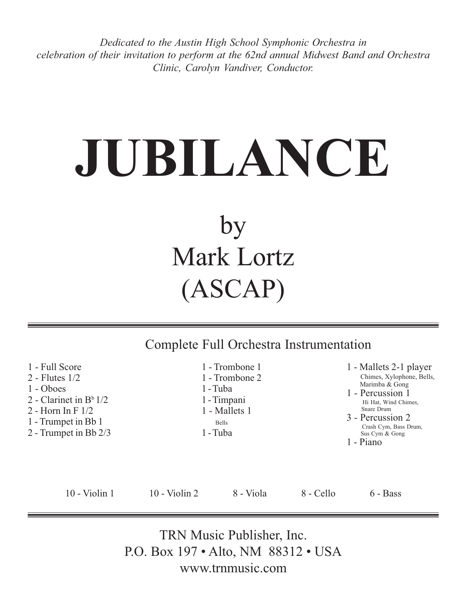*Dedicated to the Austin High School Symphonic Orchestra in celebration of their invitation to perform at the 62nd annual Midwest Band and Orchestra Clinic, Carolyn Vandiver, Conductor.*

# JUBILANCE Let  $\overline{b}$



## Complete Full Orchestra Instrumentation

- 1 Full Score
- 2 Flutes 1/2
- 1 Oboes
- 2 Clarinet in  $B<sup>b</sup>1/2$
- 2 Horn In F 1/2
- 1 Trumpet in Bb 1 2 - Trumpet in Bb 2/3

1 - Trombone 1

- 1 Trombone 2
- 1 Tuba
- 1 Timpani
- 1 Mallets 1
	- Bells
- 1 Tuba
- 1 Mallets 2-1 player Chimes, Xylophone, Bells, Marimba & Gong
- 1 Percussion 1 Hi Hat, Wind Chimes, Snare Drum
- 3 Percussion 2 Crash Cym, Bass Drum, Sus Cym & Gong 1 - Piano

10 - Violin 1 10 - Violin 2 8 - Viola 8 - Cello 6 - Bass

TRN Music Publisher, Inc. P.O. Box 197 • Alto, NM 88312 • USA www.trnmusic.com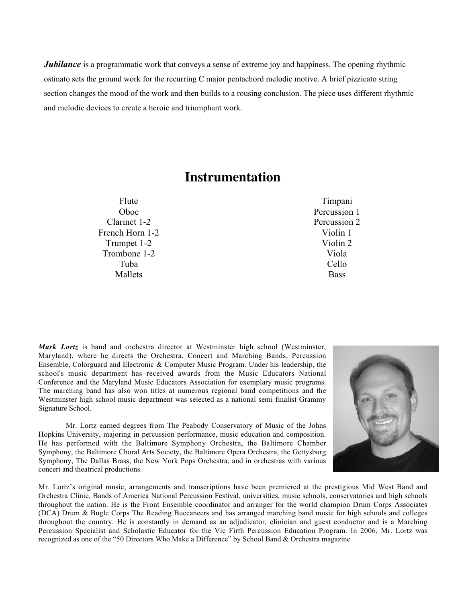*Jubilance* is a programmatic work that conveys a sense of extreme joy and happiness. The opening rhythmic ostinato sets the ground work for the recurring C major pentachord melodic motive. A brief pizzicato string section changes the mood of the work and then builds to a rousing conclusion. The piece uses different rhythmic and melodic devices to create a heroic and triumphant work.

### **Instrumentation**

Flute Oboe Clarinet 1-2 French Horn 1-2 Trumpet 1-2 Trombone 1-2 Tuba Mallets

Timpani Percussion 1 Percussion 2 Violin 1 Violin 2 Viola Cello Bass

Mark Lortz is band and orchestra director at Westminster high school (Westminster, Maryland), where he directs the Orchestra, Concert and Marching Bands, Percussion Ensemble, Colorguard and Electronic & Computer Music Program. Under his leadership, the school's music department has received awards from the Music Educators National Conference and the Maryland Music Educators Association for exemplary music programs. The marching band has also won titles at numerous regional band competitions and the Westminster high school music department was selected as a national semi finalist Grammy Signature School.

Mr. Lortz earned degrees from The Peabody Conservatory of Music of the Johns Hopkins University, majoring in percussion performance, music education and composition. He has performed with the Baltimore Symphony Orchestra, the Baltimore Chamber Symphony, the Baltimore Choral Arts Society, the Baltimore Opera Orchestra, the Gettysburg Symphony, The Dallas Brass, the New York Pops Orchestra, and in orchestras with various concert and theatrical productions.

Mr. Lortz's original music, arrangements and transcriptions have been premiered at the prestigious Mid West Band and Orchestra Clinic, Bands of America National Percussion Festival, universities, music schools, conservatories and high schools throughout the nation. He is the Front Ensemble coordinator and arranger for the world champion Drum Corps Associates (DCA) Drum & Bugle Corps The Reading Buccaneers and has arranged marching band music for high schools and colleges throughout the country. He is constantly in demand as an adjudicator, clinician and guest conductor and is a Marching Percussion Specialist and Scholastic Educator for the Vic Firth Percussion Education Program. In 2006, Mr. Lortz was recognized as one of the "50 Directors Who Make a Difference" by School Band & Orchestra magazine

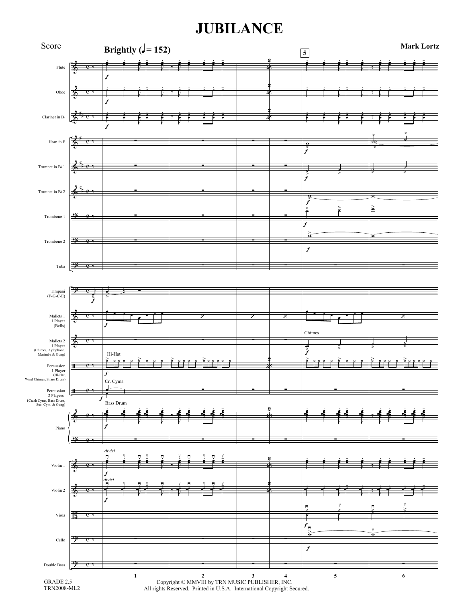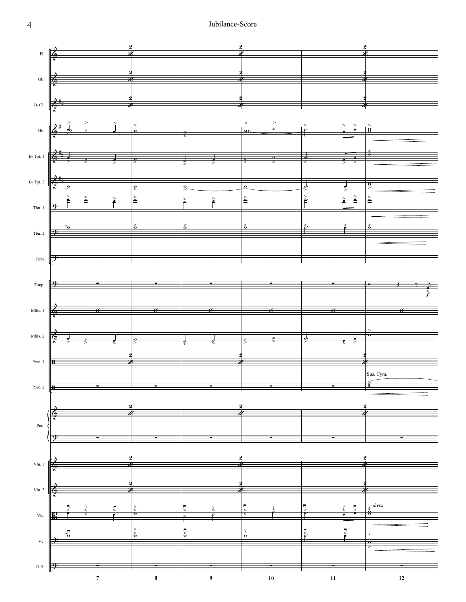#### 4 Jubilance-Score